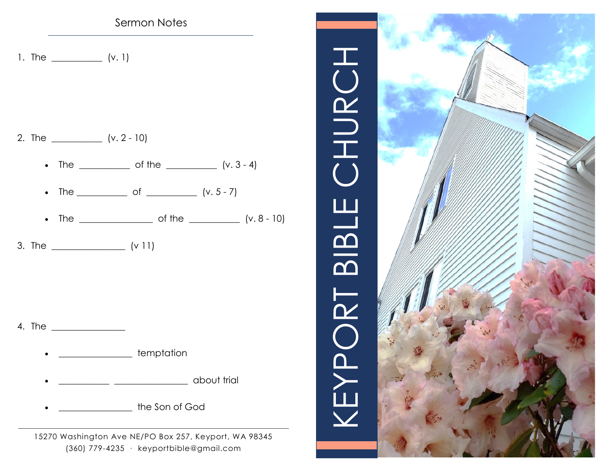# Sermon Notes

1. The \_\_\_\_\_\_\_\_\_\_\_(v. 1)

- 2. The \_\_\_\_\_\_\_\_\_\_\_ (v. 2 10)
	- The  $\_\_$  of the  $\_\_$  (v. 3 4)
	- The \_\_\_\_\_\_\_\_\_\_\_ of \_\_\_\_\_\_\_\_\_\_ (v. 5 7)
	- The  $\frac{1}{\sqrt{1-\frac{1}{2}}}\int_{0}^{\pi}$  of the  $\frac{1}{\pi}$  (v. 8 10)
- 3. The \_\_\_\_\_\_\_\_\_\_\_\_\_\_\_\_ (v 11)

4. The \_\_\_\_\_\_\_\_\_\_\_\_\_\_\_\_

- **\_\_\_\_\_\_\_\_\_\_\_\_\_\_\_** temptation
- \_\_\_\_\_\_\_\_\_\_\_ \_\_\_\_\_\_\_\_\_\_\_\_\_\_\_\_ about trial
- eral the Son of God

15270 Washington Ave NE/PO Box 257, Keyport, WA 98345 (360) 779-4235 · [keyportbible@gmail.com](mailto:keyportbible@gmail.com)